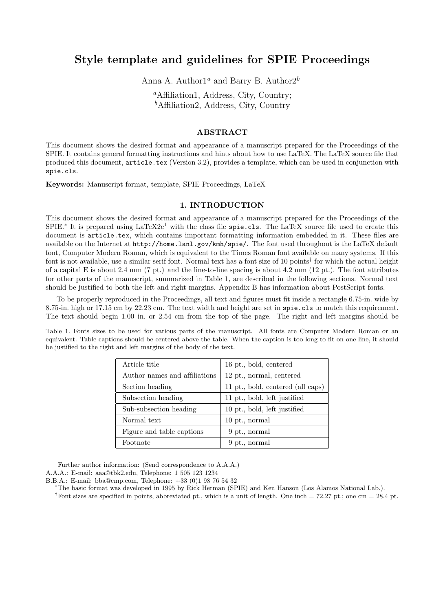# Style template and guidelines for SPIE Proceedings

Anna A. Author<sup>1a</sup> and Barry B. Author<sup>2</sup><sup>b</sup>

<sup>a</sup>Affiliation1, Address, City, Country;  $<sup>b</sup>$ Affiliation2, Address, City, Country</sup>

## ABSTRACT

This document shows the desired format and appearance of a manuscript prepared for the Proceedings of the SPIE. It contains general formatting instructions and hints about how to use LaTeX. The LaTeX source file that produced this document, article.tex (Version 3.2), provides a template, which can be used in conjunction with spie.cls.

Keywords: Manuscript format, template, SPIE Proceedings, LaTeX

#### 1. INTRODUCTION

This document shows the desired format and appearance of a manuscript prepared for the Proceedings of the  $SPIE.*$  It is prepared using  $LaTeX2e<sup>1</sup>$  with the class file spie.cls. The LaTeX source file used to create this document is article.tex, which contains important formatting information embedded in it. These files are available on the Internet at http://home.lanl.gov/kmh/spie/. The font used throughout is the LaTeX default font, Computer Modern Roman, which is equivalent to the Times Roman font available on many systems. If this font is not available, use a similar serif font. Normal text has a font size of 10 points<sup>†</sup> for which the actual height of a capital E is about 2.4 mm (7 pt.) and the line-to-line spacing is about 4.2 mm (12 pt.). The font attributes for other parts of the manuscript, summarized in Table 1, are described in the following sections. Normal text should be justified to both the left and right margins. Appendix B has information about PostScript fonts.

To be properly reproduced in the Proceedings, all text and figures must fit inside a rectangle 6.75-in. wide by 8.75-in. high or 17.15 cm by 22.23 cm. The text width and height are set in spie.cls to match this requirement. The text should begin 1.00 in. or 2.54 cm from the top of the page. The right and left margins should be

Table 1. Fonts sizes to be used for various parts of the manuscript. All fonts are Computer Modern Roman or an equivalent. Table captions should be centered above the table. When the caption is too long to fit on one line, it should be justified to the right and left margins of the body of the text.

| Article title                 | 16 pt., bold, centered            |
|-------------------------------|-----------------------------------|
| Author names and affiliations | 12 pt., normal, centered          |
| Section heading               | 11 pt., bold, centered (all caps) |
| Subsection heading            | 11 pt., bold, left justified      |
| Sub-subsection heading        | 10 pt., bold, left justified      |
| Normal text                   | $10$ pt., normal                  |
| Figure and table captions     | 9 pt., normal                     |
| Footnote                      | 9 pt., normal                     |

Further author information: (Send correspondence to A.A.A.)

A.A.A.: E-mail: aaa@tbk2.edu, Telephone: 1 505 123 1234

B.B.A.: E-mail: bba@cmp.com, Telephone: +33 (0)1 98 76 54 32

<sup>∗</sup>The basic format was developed in 1995 by Rick Herman (SPIE) and Ken Hanson (Los Alamos National Lab.).

<sup>&</sup>lt;sup>†</sup>Font sizes are specified in points, abbreviated pt., which is a unit of length. One inch = 72.27 pt.; one cm = 28.4 pt.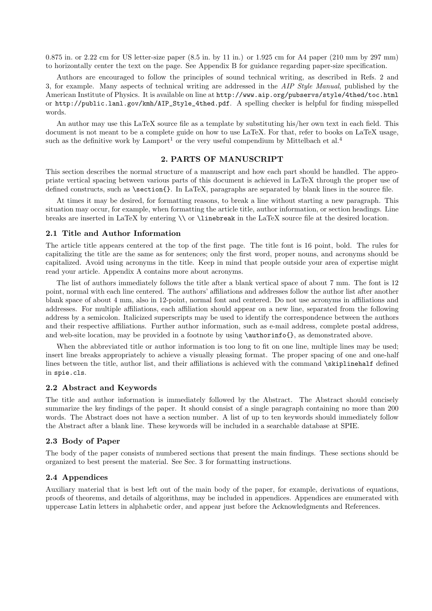0.875 in. or 2.22 cm for US letter-size paper (8.5 in. by 11 in.) or 1.925 cm for A4 paper (210 mm by 297 mm) to horizontally center the text on the page. See Appendix B for guidance regarding paper-size specification.

Authors are encouraged to follow the principles of sound technical writing, as described in Refs. 2 and 3, for example. Many aspects of technical writing are addressed in the AIP Style Manual, published by the American Institute of Physics. It is available on line at http://www.aip.org/pubservs/style/4thed/toc.html or http://public.lanl.gov/kmh/AIP\_Style\_4thed.pdf. A spelling checker is helpful for finding misspelled words.

An author may use this LaTeX source file as a template by substituting his/her own text in each field. This document is not meant to be a complete guide on how to use LaTeX. For that, refer to books on LaTeX usage, such as the definitive work by Lamport<sup>1</sup> or the very useful compendium by Mittelbach et al.<sup>4</sup>

### 2. PARTS OF MANUSCRIPT

This section describes the normal structure of a manuscript and how each part should be handled. The appropriate vertical spacing between various parts of this document is achieved in LaTeX through the proper use of defined constructs, such as \section{}. In LaTeX, paragraphs are separated by blank lines in the source file.

At times it may be desired, for formatting reasons, to break a line without starting a new paragraph. This situation may occur, for example, when formatting the article title, author information, or section headings. Line breaks are inserted in LaTeX by entering \\ or \linebreak in the LaTeX source file at the desired location.

#### 2.1 Title and Author Information

The article title appears centered at the top of the first page. The title font is 16 point, bold. The rules for capitalizing the title are the same as for sentences; only the first word, proper nouns, and acronyms should be capitalized. Avoid using acronyms in the title. Keep in mind that people outside your area of expertise might read your article. Appendix A contains more about acronyms.

The list of authors immediately follows the title after a blank vertical space of about 7 mm. The font is 12 point, normal with each line centered. The authors' affiliations and addresses follow the author list after another blank space of about 4 mm, also in 12-point, normal font and centered. Do not use acronyms in affiliations and addresses. For multiple affiliations, each affiliation should appear on a new line, separated from the following address by a semicolon. Italicized superscripts may be used to identify the correspondence between the authors and their respective affiliations. Further author information, such as e-mail address, complete postal address, and web-site location, may be provided in a footnote by using \authorinfo{}, as demonstrated above.

When the abbreviated title or author information is too long to fit on one line, multiple lines may be used; insert line breaks appropriately to achieve a visually pleasing format. The proper spacing of one and one-half lines between the title, author list, and their affiliations is achieved with the command \skiplinehalf defined in spie.cls.

#### 2.2 Abstract and Keywords

The title and author information is immediately followed by the Abstract. The Abstract should concisely summarize the key findings of the paper. It should consist of a single paragraph containing no more than 200 words. The Abstract does not have a section number. A list of up to ten keywords should immediately follow the Abstract after a blank line. These keywords will be included in a searchable database at SPIE.

#### 2.3 Body of Paper

The body of the paper consists of numbered sections that present the main findings. These sections should be organized to best present the material. See Sec. 3 for formatting instructions.

## 2.4 Appendices

Auxiliary material that is best left out of the main body of the paper, for example, derivations of equations, proofs of theorems, and details of algorithms, may be included in appendices. Appendices are enumerated with uppercase Latin letters in alphabetic order, and appear just before the Acknowledgments and References.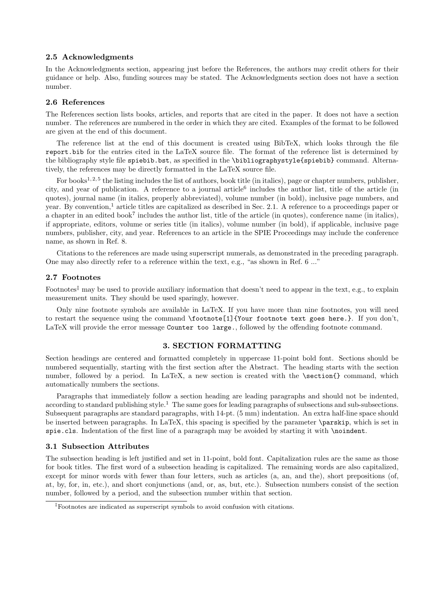#### 2.5 Acknowledgments

In the Acknowledgments section, appearing just before the References, the authors may credit others for their guidance or help. Also, funding sources may be stated. The Acknowledgments section does not have a section number.

## 2.6 References

The References section lists books, articles, and reports that are cited in the paper. It does not have a section number. The references are numbered in the order in which they are cited. Examples of the format to be followed are given at the end of this document.

The reference list at the end of this document is created using BibTeX, which looks through the file report.bib for the entries cited in the LaTeX source file. The format of the reference list is determined by the bibliography style file spiebib.bst, as specified in the \bibliographystyle{spiebib} command. Alternatively, the references may be directly formatted in the LaTeX source file.

For books<sup>1, 2, 5</sup> the listing includes the list of authors, book title (in italics), page or chapter numbers, publisher, city, and year of publication. A reference to a journal article<sup>6</sup> includes the author list, title of the article (in quotes), journal name (in italics, properly abbreviated), volume number (in bold), inclusive page numbers, and year. By convention,<sup>1</sup> article titles are capitalized as described in Sec. 2.1. A reference to a proceedings paper or a chapter in an edited book<sup>7</sup> includes the author list, title of the article (in quotes), conference name (in italics), if appropriate, editors, volume or series title (in italics), volume number (in bold), if applicable, inclusive page numbers, publisher, city, and year. References to an article in the SPIE Proceedings may include the conference name, as shown in Ref. 8.

Citations to the references are made using superscript numerals, as demonstrated in the preceding paragraph. One may also directly refer to a reference within the text, e.g., "as shown in Ref. 6 ..."

## 2.7 Footnotes

Footnotes<sup> $\ddagger$ </sup> may be used to provide auxiliary information that doesn't need to appear in the text, e.g., to explain measurement units. They should be used sparingly, however.

Only nine footnote symbols are available in LaTeX. If you have more than nine footnotes, you will need to restart the sequence using the command \footnote[1]{Your footnote text goes here.}. If you don't, LaTeX will provide the error message Counter too large., followed by the offending footnote command.

#### 3. SECTION FORMATTING

Section headings are centered and formatted completely in uppercase 11-point bold font. Sections should be numbered sequentially, starting with the first section after the Abstract. The heading starts with the section number, followed by a period. In LaTeX, a new section is created with the **\section{}** command, which automatically numbers the sections.

Paragraphs that immediately follow a section heading are leading paragraphs and should not be indented, according to standard publishing style.<sup>1</sup> The same goes for leading paragraphs of subsections and sub-subsections. Subsequent paragraphs are standard paragraphs, with 14-pt. (5 mm) indentation. An extra half-line space should be inserted between paragraphs. In LaTeX, this spacing is specified by the parameter \parskip, which is set in spie.cls. Indentation of the first line of a paragraph may be avoided by starting it with **\noindent**.

#### 3.1 Subsection Attributes

The subsection heading is left justified and set in 11-point, bold font. Capitalization rules are the same as those for book titles. The first word of a subsection heading is capitalized. The remaining words are also capitalized, except for minor words with fewer than four letters, such as articles (a, an, and the), short prepositions (of, at, by, for, in, etc.), and short conjunctions (and, or, as, but, etc.). Subsection numbers consist of the section number, followed by a period, and the subsection number within that section.

<sup>‡</sup>Footnotes are indicated as superscript symbols to avoid confusion with citations.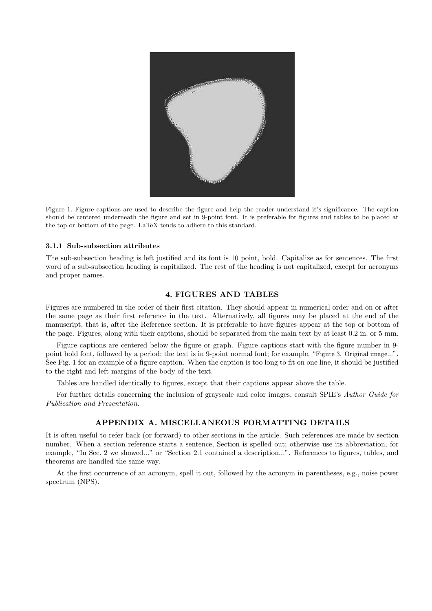

Figure 1. Figure captions are used to describe the figure and help the reader understand it's significance. The caption should be centered underneath the figure and set in 9-point font. It is preferable for figures and tables to be placed at the top or bottom of the page. LaTeX tends to adhere to this standard.

#### 3.1.1 Sub-subsection attributes

The sub-subsection heading is left justified and its font is 10 point, bold. Capitalize as for sentences. The first word of a sub-subsection heading is capitalized. The rest of the heading is not capitalized, except for acronyms and proper names.

#### 4. FIGURES AND TABLES

Figures are numbered in the order of their first citation. They should appear in numerical order and on or after the same page as their first reference in the text. Alternatively, all figures may be placed at the end of the manuscript, that is, after the Reference section. It is preferable to have figures appear at the top or bottom of the page. Figures, along with their captions, should be separated from the main text by at least 0.2 in. or 5 mm.

Figure captions are centered below the figure or graph. Figure captions start with the figure number in 9 point bold font, followed by a period; the text is in 9-point normal font; for example, "Figure 3. Original image...". See Fig. 1 for an example of a figure caption. When the caption is too long to fit on one line, it should be justified to the right and left margins of the body of the text.

Tables are handled identically to figures, except that their captions appear above the table.

For further details concerning the inclusion of graviscale and color images, consult SPIE's Author Guide for Publication and Presentation.

## APPENDIX A. MISCELLANEOUS FORMATTING DETAILS

It is often useful to refer back (or forward) to other sections in the article. Such references are made by section number. When a section reference starts a sentence, Section is spelled out; otherwise use its abbreviation, for example, "In Sec. 2 we showed..." or "Section 2.1 contained a description...". References to figures, tables, and theorems are handled the same way.

At the first occurrence of an acronym, spell it out, followed by the acronym in parentheses, e.g., noise power spectrum (NPS).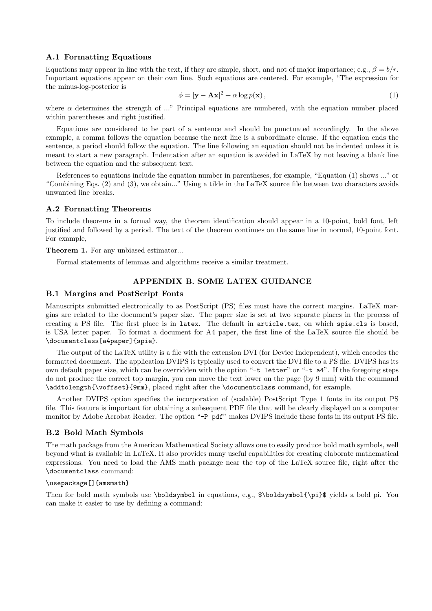#### A.1 Formatting Equations

Equations may appear in line with the text, if they are simple, short, and not of major importance; e.g.,  $\beta = b/r$ . Important equations appear on their own line. Such equations are centered. For example, "The expression for the minus-log-posterior is

$$
\phi = |\mathbf{y} - \mathbf{A}\mathbf{x}|^2 + \alpha \log p(\mathbf{x}),\tag{1}
$$

where  $\alpha$  determines the strength of ..." Principal equations are numbered, with the equation number placed within parentheses and right justified.

Equations are considered to be part of a sentence and should be punctuated accordingly. In the above example, a comma follows the equation because the next line is a subordinate clause. If the equation ends the sentence, a period should follow the equation. The line following an equation should not be indented unless it is meant to start a new paragraph. Indentation after an equation is avoided in LaTeX by not leaving a blank line between the equation and the subsequent text.

References to equations include the equation number in parentheses, for example, "Equation (1) shows ..." or "Combining Eqs. (2) and (3), we obtain..." Using a tilde in the LaTeX source file between two characters avoids unwanted line breaks.

#### A.2 Formatting Theorems

To include theorems in a formal way, the theorem identification should appear in a 10-point, bold font, left justified and followed by a period. The text of the theorem continues on the same line in normal, 10-point font. For example,

Theorem 1. For any unbiased estimator...

Formal statements of lemmas and algorithms receive a similar treatment.

# APPENDIX B. SOME LATEX GUIDANCE

### B.1 Margins and PostScript Fonts

Manuscripts submitted electronically to as PostScript (PS) files must have the correct margins. LaTeX margins are related to the document's paper size. The paper size is set at two separate places in the process of creating a PS file. The first place is in latex. The default in article.tex, on which spie.cls is based, is USA letter paper. To format a document for A4 paper, the first line of the LaTeX source file should be \documentclass[a4paper]{spie}.

The output of the LaTeX utility is a file with the extension DVI (for Device Independent), which encodes the formatted document. The application DVIPS is typically used to convert the DVI file to a PS file. DVIPS has its own default paper size, which can be overridden with the option "-t letter" or "-t a4". If the foregoing steps do not produce the correct top margin, you can move the text lower on the page (by 9 mm) with the command \addtolength{\voffset}{9mm}, placed right after the \documentclass command, for example.

Another DVIPS option specifies the incorporation of (scalable) PostScript Type 1 fonts in its output PS file. This feature is important for obtaining a subsequent PDF file that will be clearly displayed on a computer monitor by Adobe Acrobat Reader. The option "-P pdf" makes DVIPS include these fonts in its output PS file.

#### B.2 Bold Math Symbols

The math package from the American Mathematical Society allows one to easily produce bold math symbols, well beyond what is available in LaTeX. It also provides many useful capabilities for creating elaborate mathematical expressions. You need to load the AMS math package near the top of the LaTeX source file, right after the \documentclass command:

#### \usepackage[]{amsmath}

Then for bold math symbols use \boldsymbol in equations, e.g., \$\boldsymbol{\pi}\$ yields a bold pi. You can make it easier to use by defining a command: